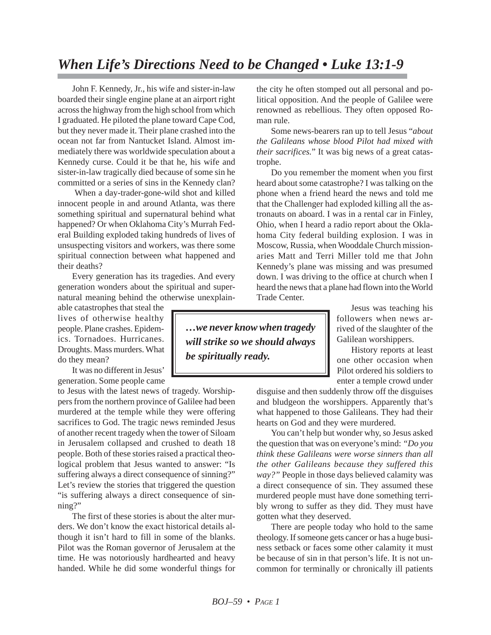## *When Life's Directions Need to be Changed • Luke 13:1-9*

John F. Kennedy, Jr., his wife and sister-in-law boarded their single engine plane at an airport right across the highway from the high school from which I graduated. He piloted the plane toward Cape Cod, but they never made it. Their plane crashed into the ocean not far from Nantucket Island. Almost immediately there was worldwide speculation about a Kennedy curse. Could it be that he, his wife and sister-in-law tragically died because of some sin he committed or a series of sins in the Kennedy clan?

When a day-trader-gone-wild shot and killed innocent people in and around Atlanta, was there something spiritual and supernatural behind what happened? Or when Oklahoma City's Murrah Federal Building exploded taking hundreds of lives of unsuspecting visitors and workers, was there some spiritual connection between what happened and their deaths?

Every generation has its tragedies. And every generation wonders about the spiritual and supernatural meaning behind the otherwise unexplain-

able catastrophes that steal the lives of otherwise healthy people. Plane crashes. Epidemics. Tornadoes. Hurricanes. Droughts. Mass murders. What do they mean?

It was no different in Jesus' generation. Some people came

to Jesus with the latest news of tragedy. Worshippers from the northern province of Galilee had been murdered at the temple while they were offering sacrifices to God. The tragic news reminded Jesus of another recent tragedy when the tower of Siloam in Jerusalem collapsed and crushed to death 18 people. Both of these stories raised a practical theological problem that Jesus wanted to answer: "Is suffering always a direct consequence of sinning?" Let's review the stories that triggered the question "is suffering always a direct consequence of sinning?"

The first of these stories is about the alter murders. We don't know the exact historical details although it isn't hard to fill in some of the blanks. Pilot was the Roman governor of Jerusalem at the time. He was notoriously hardhearted and heavy handed. While he did some wonderful things for

the city he often stomped out all personal and political opposition. And the people of Galilee were renowned as rebellious. They often opposed Roman rule.

Some news-bearers ran up to tell Jesus "*about the Galileans whose blood Pilot had mixed with their sacrifices.*" It was big news of a great catastrophe.

Do you remember the moment when you first heard about some catastrophe? I was talking on the phone when a friend heard the news and told me that the Challenger had exploded killing all the astronauts on aboard. I was in a rental car in Finley, Ohio, when I heard a radio report about the Oklahoma City federal building explosion. I was in Moscow, Russia, when Wooddale Church missionaries Matt and Terri Miller told me that John Kennedy's plane was missing and was presumed down. I was driving to the office at church when I heard the news that a plane had flown into the World Trade Center.

> Jesus was teaching his followers when news arrived of the slaughter of the Galilean worshippers.

> History reports at least one other occasion when Pilot ordered his soldiers to enter a temple crowd under

disguise and then suddenly throw off the disguises and bludgeon the worshippers. Apparently that's what happened to those Galileans. They had their hearts on God and they were murdered.

You can't help but wonder why, so Jesus asked the question that was on everyone's mind: *"Do you think these Galileans were worse sinners than all the other Galileans because they suffered this way?"* People in those days believed calamity was a direct consequence of sin. They assumed these murdered people must have done something terribly wrong to suffer as they did. They must have gotten what they deserved.

There are people today who hold to the same theology. If someone gets cancer or has a huge business setback or faces some other calamity it must be because of sin in that person's life. It is not uncommon for terminally or chronically ill patients

*…we never know when tragedy will strike so we should always be spiritually ready.*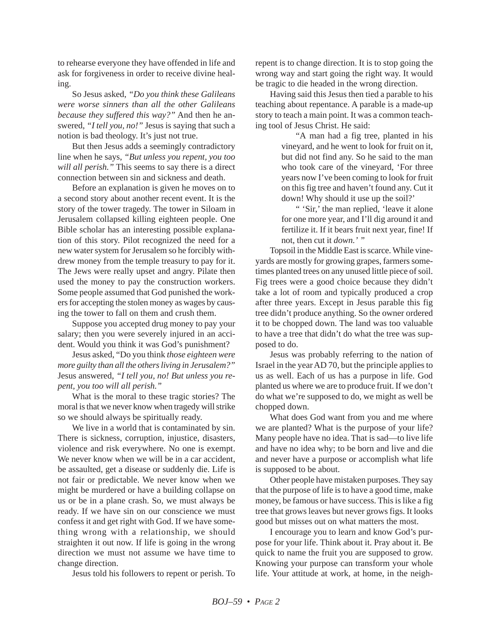to rehearse everyone they have offended in life and ask for forgiveness in order to receive divine healing.

So Jesus asked, *"Do you think these Galileans were worse sinners than all the other Galileans because they suffered this way?"* And then he answered, *"I tell you, no!"* Jesus is saying that such a notion is bad theology. It's just not true.

But then Jesus adds a seemingly contradictory line when he says, *"But unless you repent, you too will all perish."* This seems to say there is a direct connection between sin and sickness and death.

Before an explanation is given he moves on to a second story about another recent event. It is the story of the tower tragedy. The tower in Siloam in Jerusalem collapsed killing eighteen people. One Bible scholar has an interesting possible explanation of this story. Pilot recognized the need for a new water system for Jerusalem so he forcibly withdrew money from the temple treasury to pay for it. The Jews were really upset and angry. Pilate then used the money to pay the construction workers. Some people assumed that God punished the workers for accepting the stolen money as wages by causing the tower to fall on them and crush them.

Suppose you accepted drug money to pay your salary; then you were severely injured in an accident. Would you think it was God's punishment?

Jesus asked, "Do you think *those eighteen were more guilty than all the others living in Jerusalem?"* Jesus answered, *"I tell you, no! But unless you repent, you too will all perish."*

What is the moral to these tragic stories? The moral is that we never know when tragedy will strike so we should always be spiritually ready.

We live in a world that is contaminated by sin. There is sickness, corruption, injustice, disasters, violence and risk everywhere. No one is exempt. We never know when we will be in a car accident, be assaulted, get a disease or suddenly die. Life is not fair or predictable. We never know when we might be murdered or have a building collapse on us or be in a plane crash. So, we must always be ready. If we have sin on our conscience we must confess it and get right with God. If we have something wrong with a relationship, we should straighten it out now. If life is going in the wrong direction we must not assume we have time to change direction.

Jesus told his followers to repent or perish. To

repent is to change direction. It is to stop going the wrong way and start going the right way. It would be tragic to die headed in the wrong direction.

Having said this Jesus then tied a parable to his teaching about repentance. A parable is a made-up story to teach a main point. It was a common teaching tool of Jesus Christ. He said:

> "A man had a fig tree, planted in his vineyard, and he went to look for fruit on it, but did not find any. So he said to the man who took care of the vineyard, 'For three years now I've been coming to look for fruit on this fig tree and haven't found any. Cut it down! Why should it use up the soil?'

> " 'Sir,' the man replied, 'leave it alone for one more year, and I'll dig around it and fertilize it. If it bears fruit next year, fine! If not, then cut it *down.' "*

Topsoil in the Middle East is scarce. While vineyards are mostly for growing grapes, farmers sometimes planted trees on any unused little piece of soil. Fig trees were a good choice because they didn't take a lot of room and typically produced a crop after three years. Except in Jesus parable this fig tree didn't produce anything. So the owner ordered it to be chopped down. The land was too valuable to have a tree that didn't do what the tree was supposed to do.

Jesus was probably referring to the nation of Israel in the year AD 70, but the principle applies to us as well. Each of us has a purpose in life. God planted us where we are to produce fruit. If we don't do what we're supposed to do, we might as well be chopped down.

What does God want from you and me where we are planted? What is the purpose of your life? Many people have no idea. That is sad—to live life and have no idea why; to be born and live and die and never have a purpose or accomplish what life is supposed to be about.

Other people have mistaken purposes. They say that the purpose of life is to have a good time, make money, be famous or have success. This is like a fig tree that grows leaves but never grows figs. It looks good but misses out on what matters the most.

I encourage you to learn and know God's purpose for your life. Think about it. Pray about it. Be quick to name the fruit you are supposed to grow. Knowing your purpose can transform your whole life. Your attitude at work, at home, in the neigh-